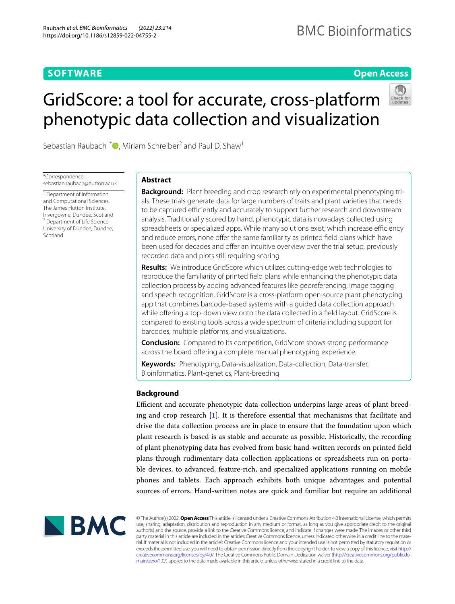# **SOFTWARE**

## **Open Access**

# GridScore: a tool for accurate, cross‑platform phenotypic data collection and visualization



Sebastian Raubach<sup>1[\\*](http://orcid.org/0000-0001-5659-247X)</sup>  $\bullet$ , Miriam Schreiber<sup>2</sup> and Paul D. Shaw<sup>1</sup>

\*Correspondence: sebastian.raubach@hutton.ac.uk

<sup>1</sup> Department of Information and Computational Sciences, The James Hutton Institute, Invergowrie, Dundee, Scotland <sup>2</sup> Department of Life Science, University of Dundee, Dundee, Scotland

# **Abstract**

**Background:** Plant breeding and crop research rely on experimental phenotyping trials. These trials generate data for large numbers of traits and plant varieties that needs to be captured efficiently and accurately to support further research and downstream analysis. Traditionally scored by hand, phenotypic data is nowadays collected using spreadsheets or specialized apps. While many solutions exist, which increase efficiency and reduce errors, none offer the same familiarity as printed field plans which have been used for decades and offer an intuitive overview over the trial setup, previously recorded data and plots still requiring scoring.

**Results:** We introduce GridScore which utilizes cutting-edge web technologies to reproduce the familiarity of printed feld plans while enhancing the phenotypic data collection process by adding advanced features like georeferencing, image tagging and speech recognition. GridScore is a cross-platform open-source plant phenotyping app that combines barcode-based systems with a guided data collection approach while offering a top-down view onto the data collected in a field layout. GridScore is compared to existing tools across a wide spectrum of criteria including support for barcodes, multiple platforms, and visualizations.

**Conclusion:** Compared to its competition, GridScore shows strong performance across the board offering a complete manual phenotyping experience.

**Keywords:** Phenotyping, Data-visualization, Data-collection, Data-transfer, Bioinformatics, Plant-genetics, Plant-breeding

## **Background**

Efficient and accurate phenotypic data collection underpins large areas of plant breeding and crop research [\[1](#page-6-0)]. It is therefore essential that mechanisms that facilitate and drive the data collection process are in place to ensure that the foundation upon which plant research is based is as stable and accurate as possible. Historically, the recording of plant phenotyping data has evolved from basic hand-written records on printed feld plans through rudimentary data collection applications or spreadsheets run on portable devices, to advanced, feature-rich, and specialized applications running on mobile phones and tablets. Each approach exhibits both unique advantages and potential sources of errors. Hand-written notes are quick and familiar but require an additional



© The Author(s) 2022. **Open Access** This article is licensed under a Creative Commons Attribution 4.0 International License, which permits use, sharing, adaptation, distribution and reproduction in any medium or format, as long as you give appropriate credit to the original author(s) and the source, provide a link to the Creative Commons licence, and indicate if changes were made. The images or other third party material in this article are included in the article's Creative Commons licence, unless indicated otherwise in a credit line to the material. If material is not included in the article's Creative Commons licence and your intended use is not permitted by statutory regulation or exceeds the permitted use, you will need to obtain permission directly from the copyright holder. To view a copy of this licence, visit [http://](http://creativecommons.org/licenses/by/4.0/) [creativecommons.org/licenses/by/4.0/.](http://creativecommons.org/licenses/by/4.0/) The Creative Commons Public Domain Dedication waiver [\(http://creativecommons.org/publicdo](http://creativecommons.org/publicdomain/zero/1.0/)[main/zero/1.0/\)](http://creativecommons.org/publicdomain/zero/1.0/) applies to the data made available in this article, unless otherwise stated in a credit line to the data.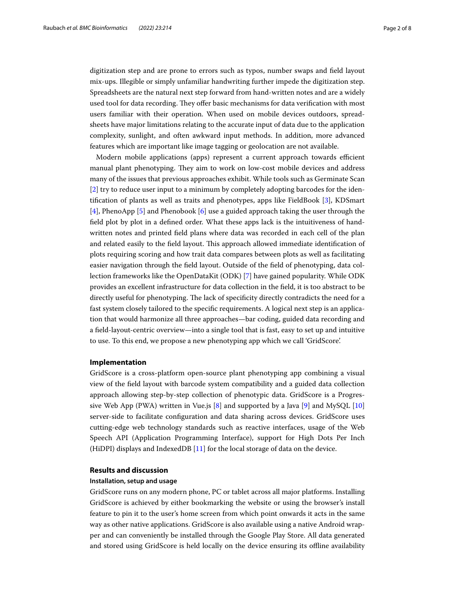digitization step and are prone to errors such as typos, number swaps and feld layout mix-ups. Illegible or simply unfamiliar handwriting further impede the digitization step. Spreadsheets are the natural next step forward from hand-written notes and are a widely used tool for data recording. They offer basic mechanisms for data verification with most users familiar with their operation. When used on mobile devices outdoors, spreadsheets have major limitations relating to the accurate input of data due to the application complexity, sunlight, and often awkward input methods. In addition, more advanced features which are important like image tagging or geolocation are not available.

Modern mobile applications (apps) represent a current approach towards efficient manual plant phenotyping. They aim to work on low-cost mobile devices and address many of the issues that previous approaches exhibit. While tools such as Germinate Scan [[2\]](#page-6-1) try to reduce user input to a minimum by completely adopting barcodes for the identifcation of plants as well as traits and phenotypes, apps like FieldBook [\[3\]](#page-6-2), KDSmart [[4\]](#page-7-0), PhenoApp [\[5](#page-7-1)] and Phenobook [\[6](#page-7-2)] use a guided approach taking the user through the feld plot by plot in a defned order. What these apps lack is the intuitiveness of handwritten notes and printed feld plans where data was recorded in each cell of the plan and related easily to the field layout. This approach allowed immediate identification of plots requiring scoring and how trait data compares between plots as well as facilitating easier navigation through the feld layout. Outside of the feld of phenotyping, data collection frameworks like the OpenDataKit (ODK) [[7\]](#page-7-3) have gained popularity. While ODK provides an excellent infrastructure for data collection in the feld, it is too abstract to be directly useful for phenotyping. The lack of specificity directly contradicts the need for a fast system closely tailored to the specifc requirements. A logical next step is an application that would harmonize all three approaches—bar coding, guided data recording and a feld-layout-centric overview—into a single tool that is fast, easy to set up and intuitive to use. To this end, we propose a new phenotyping app which we call 'GridScore'.

## **Implementation**

GridScore is a cross-platform open-source plant phenotyping app combining a visual view of the feld layout with barcode system compatibility and a guided data collection approach allowing step-by-step collection of phenotypic data. GridScore is a Progressive Web App (PWA) written in Vue.js  $[8]$  $[8]$  and supported by a Java  $[9]$  $[9]$  and MySQL  $[10]$  $[10]$  $[10]$ server-side to facilitate confguration and data sharing across devices. GridScore uses cutting-edge web technology standards such as reactive interfaces, usage of the Web Speech API (Application Programming Interface), support for High Dots Per Inch (HiDPI) displays and IndexedDB [\[11](#page-7-7)] for the local storage of data on the device.

## **Results and discussion**

## **Installation, setup and usage**

GridScore runs on any modern phone, PC or tablet across all major platforms. Installing GridScore is achieved by either bookmarking the website or using the browser's install feature to pin it to the user's home screen from which point onwards it acts in the same way as other native applications. GridScore is also available using a native Android wrapper and can conveniently be installed through the Google Play Store. All data generated and stored using GridScore is held locally on the device ensuring its ofine availability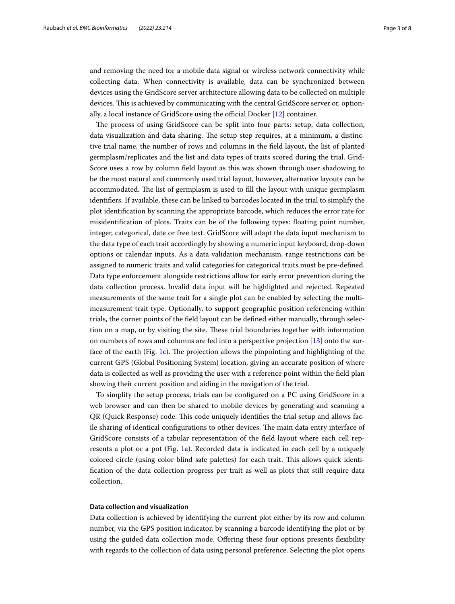and removing the need for a mobile data signal or wireless network connectivity while collecting data. When connectivity is available, data can be synchronized between devices using the GridScore server architecture allowing data to be collected on multiple devices. This is achieved by communicating with the central GridScore server or, optionally, a local instance of GridScore using the official Docker  $[12]$  $[12]$  container.

The process of using GridScore can be split into four parts: setup, data collection, data visualization and data sharing. The setup step requires, at a minimum, a distinctive trial name, the number of rows and columns in the feld layout, the list of planted germplasm/replicates and the list and data types of traits scored during the trial. Grid-Score uses a row by column feld layout as this was shown through user shadowing to be the most natural and commonly used trial layout, however, alternative layouts can be accommodated. The list of germplasm is used to fill the layout with unique germplasm identifers. If available, these can be linked to barcodes located in the trial to simplify the plot identifcation by scanning the appropriate barcode, which reduces the error rate for misidentifcation of plots. Traits can be of the following types: foating point number, integer, categorical, date or free text. GridScore will adapt the data input mechanism to the data type of each trait accordingly by showing a numeric input keyboard, drop-down options or calendar inputs. As a data validation mechanism, range restrictions can be assigned to numeric traits and valid categories for categorical traits must be pre-defned. Data type enforcement alongside restrictions allow for early error prevention during the data collection process. Invalid data input will be highlighted and rejected. Repeated measurements of the same trait for a single plot can be enabled by selecting the multimeasurement trait type. Optionally, to support geographic position referencing within trials, the corner points of the feld layout can be defned either manually, through selection on a map, or by visiting the site. Tese trial boundaries together with information on numbers of rows and columns are fed into a perspective projection [\[13](#page-7-9)] onto the sur-face of the earth (Fig. [1](#page-3-0)c). The projection allows the pinpointing and highlighting of the current GPS (Global Positioning System) location, giving an accurate position of where data is collected as well as providing the user with a reference point within the feld plan showing their current position and aiding in the navigation of the trial.

To simplify the setup process, trials can be confgured on a PC using GridScore in a web browser and can then be shared to mobile devices by generating and scanning a QR (Quick Response) code. Tis code uniquely identifes the trial setup and allows facile sharing of identical configurations to other devices. The main data entry interface of GridScore consists of a tabular representation of the feld layout where each cell represents a plot or a pot (Fig. [1a](#page-3-0)). Recorded data is indicated in each cell by a uniquely colored circle (using color blind safe palettes) for each trait. Tis allows quick identifcation of the data collection progress per trait as well as plots that still require data collection.

## **Data collection and visualization**

Data collection is achieved by identifying the current plot either by its row and column number, via the GPS position indicator, by scanning a barcode identifying the plot or by using the guided data collection mode. Ofering these four options presents fexibility with regards to the collection of data using personal preference. Selecting the plot opens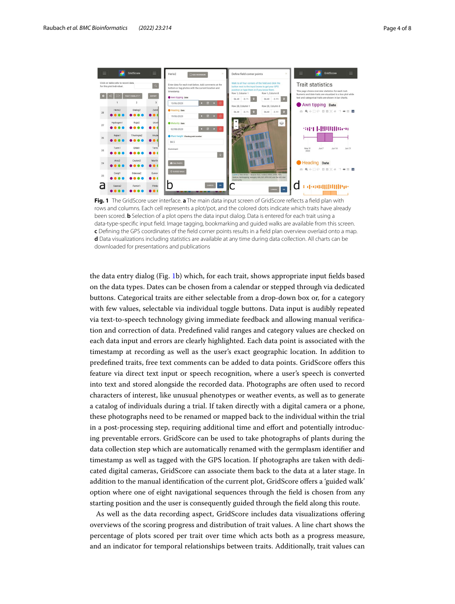

<span id="page-3-0"></span>**Fig. 1** The GridScore user interface. **a** The main data input screen of GridScore refects a feld plan with rows and columns. Each cell represents a plot/pot, and the colored dots indicate which traits have already been scored. **b** Selection of a plot opens the data input dialog. Data is entered for each trait using a data-type-specifc input feld. Image tagging, bookmarking and guided walks are available from this screen. **c** Defning the GPS coordinates of the feld corner points results in a feld plan overview overlaid onto a map. **d** Data visualizations including statistics are available at any time during data collection. All charts can be downloaded for presentations and publications

the data entry dialog (Fig. [1](#page-3-0)b) which, for each trait, shows appropriate input felds based on the data types. Dates can be chosen from a calendar or stepped through via dedicated buttons. Categorical traits are either selectable from a drop-down box or, for a category with few values, selectable via individual toggle buttons. Data input is audibly repeated via text-to-speech technology giving immediate feedback and allowing manual verifcation and correction of data. Predefned valid ranges and category values are checked on each data input and errors are clearly highlighted. Each data point is associated with the timestamp at recording as well as the user's exact geographic location. In addition to predefned traits, free text comments can be added to data points. GridScore ofers this feature via direct text input or speech recognition, where a user's speech is converted into text and stored alongside the recorded data. Photographs are often used to record characters of interest, like unusual phenotypes or weather events, as well as to generate a catalog of individuals during a trial. If taken directly with a digital camera or a phone, these photographs need to be renamed or mapped back to the individual within the trial in a post-processing step, requiring additional time and efort and potentially introducing preventable errors. GridScore can be used to take photographs of plants during the data collection step which are automatically renamed with the germplasm identifer and timestamp as well as tagged with the GPS location. If photographs are taken with dedicated digital cameras, GridScore can associate them back to the data at a later stage. In addition to the manual identifcation of the current plot, GridScore ofers a 'guided walk' option where one of eight navigational sequences through the feld is chosen from any starting position and the user is consequently guided through the feld along this route.

As well as the data recording aspect, GridScore includes data visualizations ofering overviews of the scoring progress and distribution of trait values. A line chart shows the percentage of plots scored per trait over time which acts both as a progress measure, and an indicator for temporal relationships between traits. Additionally, trait values can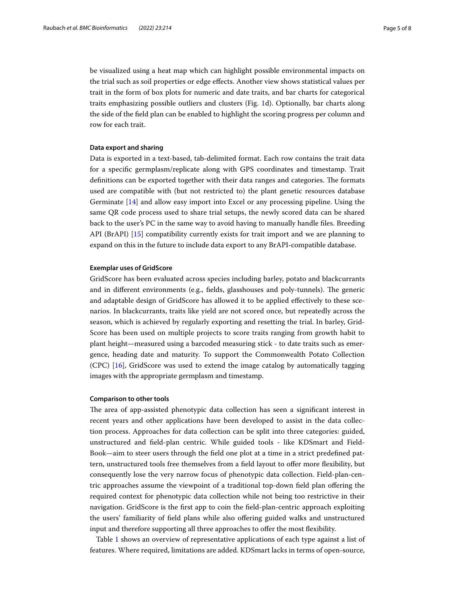be visualized using a heat map which can highlight possible environmental impacts on the trial such as soil properties or edge efects. Another view shows statistical values per trait in the form of box plots for numeric and date traits, and bar charts for categorical traits emphasizing possible outliers and clusters (Fig. [1](#page-3-0)d). Optionally, bar charts along the side of the feld plan can be enabled to highlight the scoring progress per column and row for each trait.

## **Data export and sharing**

Data is exported in a text-based, tab-delimited format. Each row contains the trait data for a specifc germplasm/replicate along with GPS coordinates and timestamp. Trait definitions can be exported together with their data ranges and categories. The formats used are compatible with (but not restricted to) the plant genetic resources database Germinate [\[14\]](#page-7-10) and allow easy import into Excel or any processing pipeline. Using the same QR code process used to share trial setups, the newly scored data can be shared back to the user's PC in the same way to avoid having to manually handle fles. Breeding API (BrAPI) [[15\]](#page-7-11) compatibility currently exists for trait import and we are planning to expand on this in the future to include data export to any BrAPI-compatible database.

### **Exemplar uses of GridScore**

GridScore has been evaluated across species including barley, potato and blackcurrants and in different environments (e.g., fields, glasshouses and poly-tunnels). The generic and adaptable design of GridScore has allowed it to be applied efectively to these scenarios. In blackcurrants, traits like yield are not scored once, but repeatedly across the season, which is achieved by regularly exporting and resetting the trial. In barley, Grid-Score has been used on multiple projects to score traits ranging from growth habit to plant height—measured using a barcoded measuring stick - to date traits such as emergence, heading date and maturity. To support the Commonwealth Potato Collection (CPC) [\[16](#page-7-12)], GridScore was used to extend the image catalog by automatically tagging images with the appropriate germplasm and timestamp.

## **Comparison to other tools**

The area of app-assisted phenotypic data collection has seen a significant interest in recent years and other applications have been developed to assist in the data collection process. Approaches for data collection can be split into three categories: guided, unstructured and feld-plan centric. While guided tools - like KDSmart and Field-Book—aim to steer users through the feld one plot at a time in a strict predefned pattern, unstructured tools free themselves from a feld layout to ofer more fexibility, but consequently lose the very narrow focus of phenotypic data collection. Field-plan-centric approaches assume the viewpoint of a traditional top-down feld plan ofering the required context for phenotypic data collection while not being too restrictive in their navigation. GridScore is the frst app to coin the feld-plan-centric approach exploiting the users' familiarity of feld plans while also ofering guided walks and unstructured input and therefore supporting all three approaches to offer the most flexibility.

Table [1](#page-5-0) shows an overview of representative applications of each type against a list of features. Where required, limitations are added. KDSmart lacks in terms of open-source,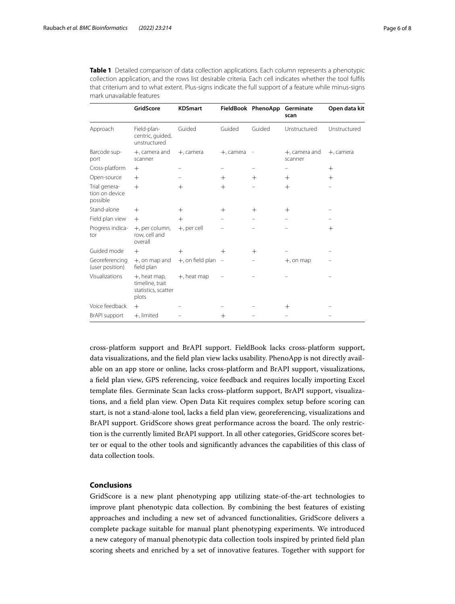|                                             | GridScore                                                          | <b>KDSmart</b>      |                          | FieldBook PhenoApp Germinate | scan                        | Open data kit |
|---------------------------------------------|--------------------------------------------------------------------|---------------------|--------------------------|------------------------------|-----------------------------|---------------|
| Approach                                    | Field-plan-<br>centric, quided,<br>unstructured                    | Guided              | Guided                   | Guided                       | Unstructured                | Unstructured  |
| Barcode sup-<br>port                        | $+$ , camera and<br>scanner                                        | $+$ , camera        | $+$ , camera             |                              | $+$ , camera and<br>scanner | +, camera     |
| Cross-platform                              | $^{+}$                                                             |                     |                          |                              |                             | $^{+}$        |
| Open-source                                 | $+$                                                                |                     | $^{+}$                   | $^{+}$                       | $^{+}$                      | $^{+}$        |
| Trial genera-<br>tion on device<br>possible | $+$                                                                | $^{+}$              | $^{+}$                   |                              | $+$                         |               |
| Stand-alone                                 | $^{+}$                                                             | $^{+}$              | $^{+}$                   | $^{+}$                       | $^{+}$                      |               |
| Field plan view                             | $+$                                                                | $+$                 |                          |                              |                             |               |
| Progress indica-<br>tor                     | +, per column,<br>row, cell and<br>overall                         | +, per cell         |                          |                              |                             | $^{+}$        |
| Guided mode                                 | $^{+}$                                                             | $^{+}$              | $^{+}$                   | $^{+}$                       |                             |               |
| Georeferencing<br>(user position)           | $+$ , on map and<br>field plan                                     | $+$ , on field plan | $\overline{\phantom{m}}$ |                              | $+$ , on map                |               |
| Visualizations                              | $+$ , heat map,<br>timeline, trait<br>statistics, scatter<br>plots | $+$ , heat map      |                          |                              |                             |               |
| Voice feedback                              | $+$                                                                |                     |                          |                              | $^{+}$                      |               |
| <b>BrAPI</b> support                        | $+$ , limited                                                      |                     | $^{+}$                   |                              |                             |               |

<span id="page-5-0"></span>**Table 1** Detailed comparison of data collection applications. Each column represents a phenotypic collection application, and the rows list desirable criteria. Each cell indicates whether the tool fulfls that criterium and to what extent. Plus-signs indicate the full support of a feature while minus-signs mark unavailable features

cross-platform support and BrAPI support. FieldBook lacks cross-platform support, data visualizations, and the feld plan view lacks usability. PhenoApp is not directly available on an app store or online, lacks cross-platform and BrAPI support, visualizations, a feld plan view, GPS referencing, voice feedback and requires locally importing Excel template fles. Germinate Scan lacks cross-platform support, BrAPI support, visualizations, and a feld plan view. Open Data Kit requires complex setup before scoring can start, is not a stand-alone tool, lacks a feld plan view, georeferencing, visualizations and BrAPI support. GridScore shows great performance across the board. The only restriction is the currently limited BrAPI support. In all other categories, GridScore scores better or equal to the other tools and signifcantly advances the capabilities of this class of data collection tools.

## **Conclusions**

GridScore is a new plant phenotyping app utilizing state-of-the-art technologies to improve plant phenotypic data collection. By combining the best features of existing approaches and including a new set of advanced functionalities, GridScore delivers a complete package suitable for manual plant phenotyping experiments. We introduced a new category of manual phenotypic data collection tools inspired by printed feld plan scoring sheets and enriched by a set of innovative features. Together with support for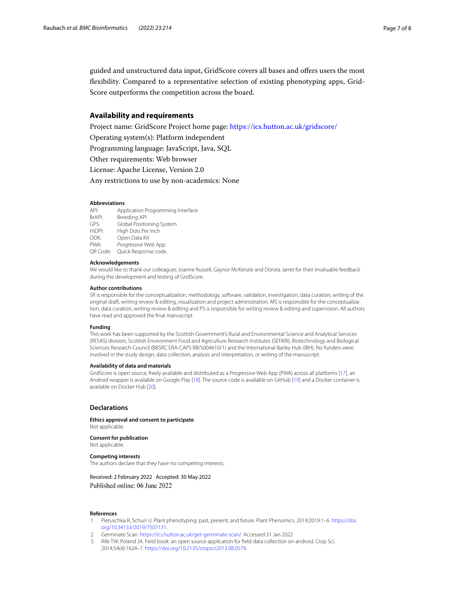guided and unstructured data input, GridScore covers all bases and ofers users the most fexibility. Compared to a representative selection of existing phenotyping apps, Grid-Score outperforms the competition across the board.

## **Availability and requirements**

Project name: GridScore Project home page:<https://ics.hutton.ac.uk/gridscore/>

Operating system(s): Platform independent

Programming language: JavaScript, Java, SQL

Other requirements: Web browser

License: Apache License, Version 2.0

Any restrictions to use by non-academics: None

#### **Abbreviations**

API: Application Programming Interface BrAPI: Breeding API<br>GPS: Global Positic Global Positioning System HiDPI: High Dots Per Inch<br>ODK: Open Data Kit Open Data Kit PWA: Progressive Web App QR Code: Quick Response code.

#### **Acknowledgements**

We would like to thank our colleagues Joanne Russell, Gaynor McKenzie and Dorota Jarret for their invaluable feedback during the development and testing of GridScore.

#### **Author contributions**

SR is responsible for the conceptualization, methodology, software, validation, investigation, data curation, writing of the original draft, writing review & editing, visualization and project administration. MS is responsible for the conceptualization, data curation, writing review & editing and PS is responsible for writing review & editing and supervision. All authors have read and approved the fnal manuscript.

#### **Funding**

This work has been supported by the Scottish Government's Rural and Environmental Science and Analytical Services (RESAS) division, Scottish Environment Food and Agriculture Research Institutes (SEFARI), Biotechnology and Biological Sciences Research Council (BBSRC ERA-CAPS BB/S004610/1) and the International Barley Hub (IBH). No funders were involved in the study design, data collection, analysis and interpretation, or writing of the manuscript.

#### **Availability of data and materials**

GridScore is open source, freely available and distributed as a Progressive Web App (PWA) across all platforms [\[17\]](#page-7-13), an Android wrapper is available on Google Play [[18](#page-7-14)]. The source code is available on GitHub [\[19\]](#page-7-15) and a Docker container is available on Docker Hub [\[20\]](#page-7-16).

#### **Declarations**

**Ethics approval and consent to participate** Not applicable.

**Consent for publication** Not applicable.

#### **Competing interests**

The authors declare that they have no competing interests.

Received: 2 February 2022 Accepted: 30 May 2022 Published online: 06 June 2022

#### **References**

- <span id="page-6-0"></span>1. Pieruschka R, Schurr U. Plant phenotyping: past, present, and future. Plant Phenomics. 2019;2019:1–6. [https://doi.](https://doi.org/10.34133/2019/7507131) [org/10.34133/2019/7507131.](https://doi.org/10.34133/2019/7507131)
- <span id="page-6-1"></span>2. Germinate Scan. [https://ics.hutton.ac.uk/get-germinate-scan/.](https://ics.hutton.ac.uk/get-germinate-scan/) Accessed 31 Jan 2022
- <span id="page-6-2"></span>3. Rife TW, Poland JA. Field book: an open source application for feld data collection on android. Crop Sci. 2014;54(4):1624–7. <https://doi.org/10.2135/cropsci2013.08.0579>.